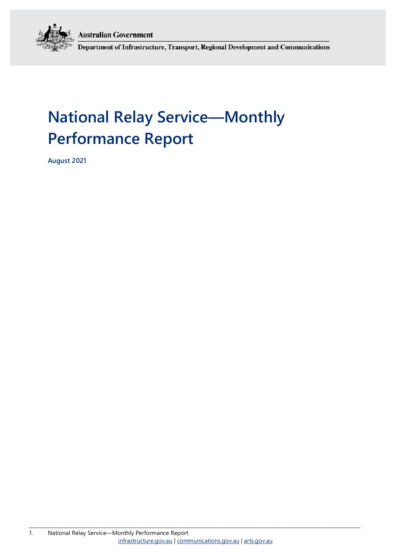**Australian Government** 



Department of Infrastructure, Transport, Regional Development and Communications

# **National Relay Service—Monthly Performance Report**

**August 2021**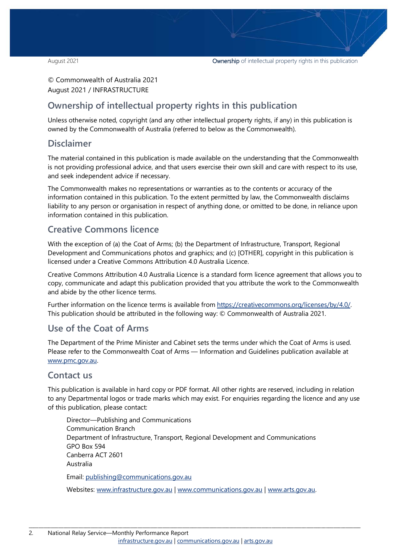© Commonwealth of Australia 2021 August 2021 / INFRASTRUCTURE

### **Ownership of intellectual property rights in this publication**

Unless otherwise noted, copyright (and any other intellectual property rights, if any) in this publication is owned by the Commonwealth of Australia (referred to below as the Commonwealth).

### **Disclaimer**

The material contained in this publication is made available on the understanding that the Commonwealth is not providing professional advice, and that users exercise their own skill and care with respect to its use, and seek independent advice if necessary.

The Commonwealth makes no representations or warranties as to the contents or accuracy of the information contained in this publication. To the extent permitted by law, the Commonwealth disclaims liability to any person or organisation in respect of anything done, or omitted to be done, in reliance upon information contained in this publication.

### **Creative Commons licence**

With the exception of (a) the Coat of Arms; (b) the Department of Infrastructure, Transport, Regional Development and Communications photos and graphics; and (c) [OTHER], copyright in this publication is licensed under a Creative Commons Attribution 4.0 Australia Licence.

Creative Commons Attribution 4.0 Australia Licence is a standard form licence agreement that allows you to copy, communicate and adapt this publication provided that you attribute the work to the Commonwealth and abide by the other licence terms.

Further information on the licence terms is available from [https://creativecommons.org/licenses/by/4.0/.](https://creativecommons.org/licenses/by/4.0/) This publication should be attributed in the following way: © Commonwealth of Australia 2021.

### **Use of the Coat of Arms**

The Department of the Prime Minister and Cabinet sets the terms under which the Coat of Arms is used. Please refer to the Commonwealth Coat of Arms — Information and Guidelines publication available at [www.pmc.gov.au.](http://www.pmc.gov.au/) 

### **Contact us**

This publication is available in hard copy or PDF format. All other rights are reserved, including in relation to any Departmental logos or trade marks which may exist. For enquiries regarding the licence and any use of this publication, please contact:

Director—Publishing and Communications Communication Branch Department of Infrastructure, Transport, Regional Development and Communications GPO Box 594 Canberra ACT 2601 Australia Email: [publishing@communications.gov.au](mailto:publishing@communications.gov.au)

Websites: [www.infrastructure.gov.au](http://www.infrastructure.gov.au/) [| www.communications.gov.au](http://www.communications.gov.au/) | [www.arts.gov.au.](http://www.arts.gov.au/)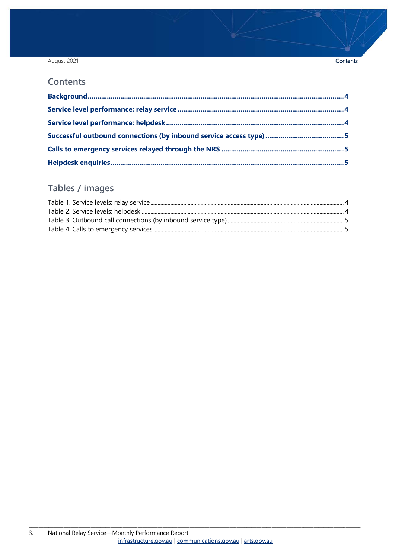### August 2021

#### Contents

### **Contents**

## Tables / images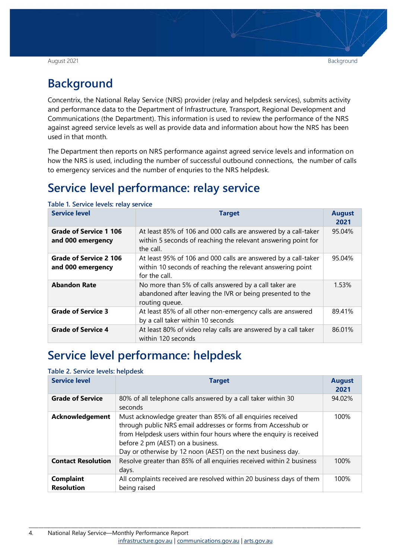#### August 2021 Background

## <span id="page-3-0"></span>**Background**

Concentrix, the National Relay Service (NRS) provider (relay and helpdesk services), submits activity and performance data to the Department of Infrastructure, Transport, Regional Development and Communications (the Department). This information is used to review the performance of the NRS against agreed service levels as well as provide data and information about how the NRS has been used in that month.

The Department then reports on NRS performance against agreed service levels and information on how the NRS is used, including the number of successful outbound connections, the number of calls to emergency services and the number of enquries to the NRS helpdesk.

## <span id="page-3-1"></span>**Service level performance: relay service**

| <b>Service level</b>                               | <b>Target</b>                                                                                                                                 | <b>August</b><br>2021 |
|----------------------------------------------------|-----------------------------------------------------------------------------------------------------------------------------------------------|-----------------------|
| Grade of Service 1 106<br>and 000 emergency        | At least 85% of 106 and 000 calls are answered by a call-taker<br>within 5 seconds of reaching the relevant answering point for<br>the call.  | 95.04%                |
| <b>Grade of Service 2 106</b><br>and 000 emergency | At least 95% of 106 and 000 calls are answered by a call-taker<br>within 10 seconds of reaching the relevant answering point<br>for the call. | 95.04%                |
| <b>Abandon Rate</b>                                | No more than 5% of calls answered by a call taker are<br>abandoned after leaving the IVR or being presented to the<br>routing queue.          | 1.53%                 |
| <b>Grade of Service 3</b>                          | At least 85% of all other non-emergency calls are answered<br>by a call taker within 10 seconds                                               | 89.41%                |
| <b>Grade of Service 4</b>                          | At least 80% of video relay calls are answered by a call taker<br>within 120 seconds                                                          | 86.01%                |

<span id="page-3-3"></span>**Table 1. Service levels: relay service**

## <span id="page-3-2"></span>**Service level performance: helpdesk**

#### <span id="page-3-4"></span>**Table 2. Service levels: helpdesk**

| <b>Service level</b>                  | <b>Target</b>                                                                                                                                                                                                                                                                                            | <b>August</b><br>2021 |
|---------------------------------------|----------------------------------------------------------------------------------------------------------------------------------------------------------------------------------------------------------------------------------------------------------------------------------------------------------|-----------------------|
| <b>Grade of Service</b>               | 80% of all telephone calls answered by a call taker within 30<br>seconds                                                                                                                                                                                                                                 | 94.02%                |
| <b>Acknowledgement</b>                | Must acknowledge greater than 85% of all enquiries received<br>through public NRS email addresses or forms from Accesshub or<br>from Helpdesk users within four hours where the enquiry is received<br>before 2 pm (AEST) on a business.<br>Day or otherwise by 12 noon (AEST) on the next business day. | 100%                  |
| <b>Contact Resolution</b>             | Resolve greater than 85% of all enquiries received within 2 business<br>days.                                                                                                                                                                                                                            | 100%                  |
| <b>Complaint</b><br><b>Resolution</b> | All complaints received are resolved within 20 business days of them<br>being raised                                                                                                                                                                                                                     | 100%                  |

\_\_\_\_\_\_\_\_\_\_\_\_\_\_\_\_\_\_\_\_\_\_\_\_\_\_\_\_\_\_\_\_\_\_\_\_\_\_\_\_\_\_\_\_\_\_\_\_\_\_\_\_\_\_\_\_\_\_\_\_\_\_\_\_\_\_\_\_\_\_\_\_\_\_\_\_\_\_\_\_\_\_\_\_\_\_\_\_\_\_\_\_\_\_\_\_\_\_\_\_\_\_\_\_\_\_\_\_\_\_\_\_\_\_\_\_\_\_\_\_\_\_\_\_\_\_\_\_\_\_\_\_\_\_